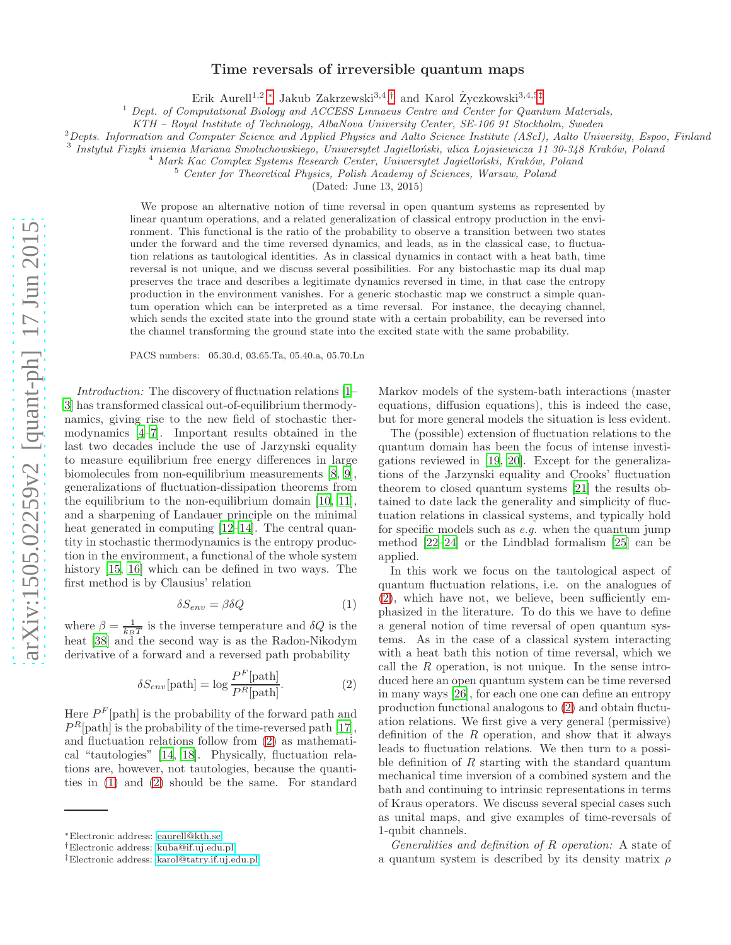## arXiv:1505.02259v2 [quant-ph] 17 Jun 2015 [arXiv:1505.02259v2 \[quant-ph\] 17 Jun 2015](http://arxiv.org/abs/1505.02259v2)

## Time reversals of irreversible quantum maps

Erik Aurell<sup>1,2</sup>,\* Jakub Zakrzewski<sup>3,4</sup>,<sup>[†](#page-0-1)</sup> and Karol Życzkowski<sup>3,4,5[‡](#page-0-2)</sup>

 $1$  Dept. of Computational Biology and ACCESS Linnaeus Centre and Center for Quantum Materials,

KTH – Royal Institute of Technology, AlbaNova University Center, SE-106 91 Stockholm, Sweden

 ${}^{2}$ Depts. Information and Computer Science and Applied Physics and Aalto Science Institute (AScI), Aalto University, Espoo, Finland

<sup>3</sup> Instytut Fizyki imienia Mariana Smoluchowskiego, Uniwersytet Jagielloński, ulica Łojasiewicza 11 30-348 Kraków, Poland

<sup>4</sup> Mark Kac Complex Systems Research Center, Uniwersytet Jagielloński, Kraków, Poland

<sup>5</sup> Center for Theoretical Physics, Polish Academy of Sciences, Warsaw, Poland

(Dated: June 13, 2015)

We propose an alternative notion of time reversal in open quantum systems as represented by linear quantum operations, and a related generalization of classical entropy production in the environment. This functional is the ratio of the probability to observe a transition between two states under the forward and the time reversed dynamics, and leads, as in the classical case, to fluctuation relations as tautological identities. As in classical dynamics in contact with a heat bath, time reversal is not unique, and we discuss several possibilities. For any bistochastic map its dual map preserves the trace and describes a legitimate dynamics reversed in time, in that case the entropy production in the environment vanishes. For a generic stochastic map we construct a simple quantum operation which can be interpreted as a time reversal. For instance, the decaying channel, which sends the excited state into the ground state with a certain probability, can be reversed into the channel transforming the ground state into the excited state with the same probability.

PACS numbers: 05.30.d, 03.65.Ta, 05.40.a, 05.70.Ln

*Introduction:* The discovery of fluctuation relations [\[1](#page-4-0)– [3](#page-4-1)] has transformed classical out-of-equilibrium thermodynamics, giving rise to the new field of stochastic thermodynamics [\[4](#page-4-2)[–7](#page-4-3)]. Important results obtained in the last two decades include the use of Jarzynski equality to measure equilibrium free energy differences in large biomolecules from non-equilibrium measurements [\[8,](#page-4-4) [9\]](#page-4-5), generalizations of fluctuation-dissipation theorems from the equilibrium to the non-equilibrium domain [\[10,](#page-4-6) [11\]](#page-4-7), and a sharpening of Landauer principle on the minimal heat generated in computing [\[12](#page-4-8)[–14\]](#page-4-9). The central quantity in stochastic thermodynamics is the entropy production in the environment, a functional of the whole system history [\[15,](#page-4-10) [16](#page-4-11)] which can be defined in two ways. The first method is by Clausius' relation

<span id="page-0-4"></span>
$$
\delta S_{env} = \beta \delta Q \tag{1}
$$

where  $\beta = \frac{1}{k_B T}$  is the inverse temperature and  $\delta Q$  is the heat [\[38\]](#page-5-0) and the second way is as the Radon-Nikodym derivative of a forward and a reversed path probability

<span id="page-0-3"></span>
$$
\delta S_{env}[\text{path}] = \log \frac{P^F[\text{path}]}{P^R[\text{path}]}.
$$
 (2)

Here  $P<sup>F</sup>$ [path] is the probability of the forward path and  $P<sup>R</sup>[path]$  is the probability of the time-reversed path [\[17\]](#page-4-12), and fluctuation relations follow from [\(2\)](#page-0-3) as mathematical "tautologies" [\[14](#page-4-9), [18\]](#page-4-13). Physically, fluctuation relations are, however, not tautologies, because the quantities in [\(1\)](#page-0-4) and [\(2\)](#page-0-3) should be the same. For standard Markov models of the system-bath interactions (master equations, diffusion equations), this is indeed the case, but for more general models the situation is less evident.

The (possible) extension of fluctuation relations to the quantum domain has been the focus of intense investigations reviewed in [\[19,](#page-4-14) [20\]](#page-4-15). Except for the generalizations of the Jarzynski equality and Crooks' fluctuation theorem to closed quantum systems [\[21\]](#page-4-16) the results obtained to date lack the generality and simplicity of fluctuation relations in classical systems, and typically hold for specific models such as *e.g.* when the quantum jump method [\[22](#page-4-17)[–24](#page-4-18)] or the Lindblad formalism [\[25\]](#page-4-19) can be applied.

In this work we focus on the tautological aspect of quantum fluctuation relations, i.e. on the analogues of [\(2\)](#page-0-3), which have not, we believe, been sufficiently emphasized in the literature. To do this we have to define a general notion of time reversal of open quantum systems. As in the case of a classical system interacting with a heat bath this notion of time reversal, which we call the  $R$  operation, is not unique. In the sense introduced here an open quantum system can be time reversed in many ways [\[26\]](#page-4-20), for each one one can define an entropy production functional analogous to [\(2\)](#page-0-3) and obtain fluctuation relations. We first give a very general (permissive) definition of the  $R$  operation, and show that it always leads to fluctuation relations. We then turn to a possible definition of  $R$  starting with the standard quantum mechanical time inversion of a combined system and the bath and continuing to intrinsic representations in terms of Kraus operators. We discuss several special cases such as unital maps, and give examples of time-reversals of 1-qubit channels.

*Generalities and definition of* R *operation:* A state of a quantum system is described by its density matrix  $\rho$ 

<span id="page-0-0"></span><sup>∗</sup>Electronic address: [eaurell@kth.se](mailto:eaurell@kth.se)

<span id="page-0-1"></span><sup>†</sup>Electronic address: [kuba@if.uj.edu.pl](mailto:kuba@if.uj.edu.pl)

<span id="page-0-2"></span><sup>‡</sup>Electronic address: [karol@tatry.if.uj.edu.pl](mailto:karol@tatry.if.uj.edu.pl)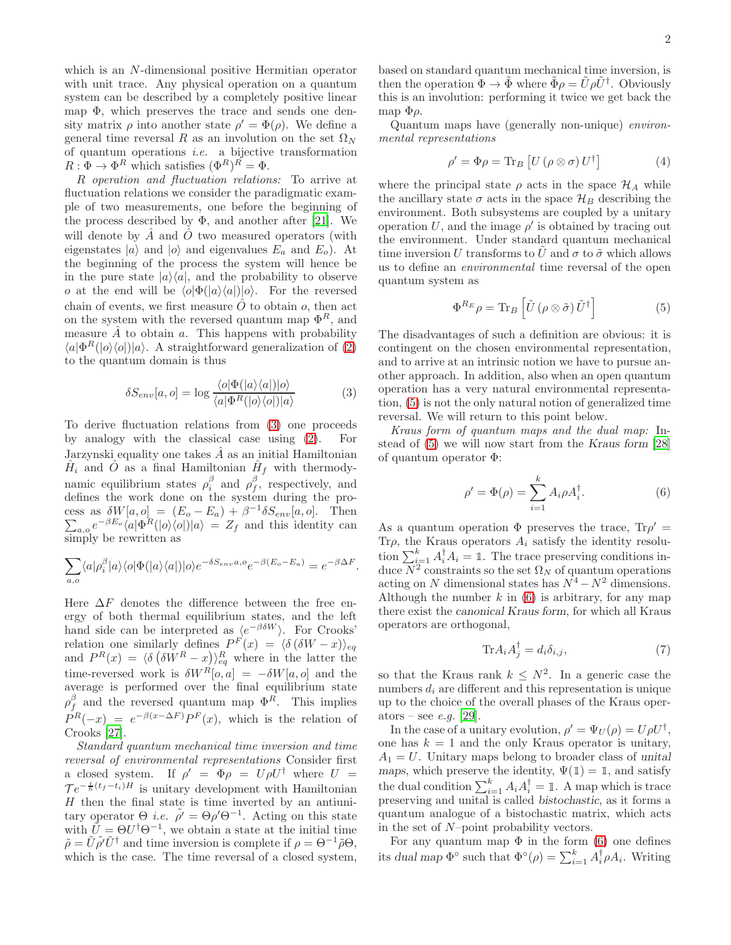which is an N-dimensional positive Hermitian operator with unit trace. Any physical operation on a quantum system can be described by a completely positive linear map Φ, which preserves the trace and sends one density matrix  $\rho$  into another state  $\rho' = \Phi(\rho)$ . We define a general time reversal R as an involution on the set  $\Omega_N$ of quantum operations *i.e.* a bijective transformation  $R: \Phi \to \Phi^R$  which satisfies  $(\Phi^R)^R = \Phi$ .

R *operation and fluctuation relations:* To arrive at fluctuation relations we consider the paradigmatic example of two measurements, one before the beginning of the process described by  $\Phi$ , and another after [\[21\]](#page-4-16). We will denote by  $\hat{A}$  and  $\hat{O}$  two measured operators (with eigenstates  $|a\rangle$  and  $|o\rangle$  and eigenvalues  $E_a$  and  $E_o$ ). At the beginning of the process the system will hence be in the pure state  $|a\rangle\langle a|$ , and the probability to observe o at the end will be  $\langle o|\Phi(|a\rangle\langle a|)|o\rangle$ . For the reversed chain of events, we first measure  $\hat{O}$  to obtain  $o$ , then act on the system with the reversed quantum map  $\Phi^R$ , and measure  $\hat{A}$  to obtain a. This happens with probability  $\langle a|\Phi^R(|o\rangle\langle o|)|a\rangle$ . A straightforward generalization of [\(2\)](#page-0-3) to the quantum domain is thus

<span id="page-1-0"></span>
$$
\delta S_{env}[a, o] = \log \frac{\langle o | \Phi(|a\rangle \langle a|) | o \rangle}{\langle a | \Phi^R(|o\rangle \langle o|) | a \rangle} \tag{3}
$$

To derive fluctuation relations from [\(3\)](#page-1-0) one proceeds by analogy with the classical case using [\(2\)](#page-0-3). For Jarzynski equality one takes  $\hat{A}$  as an initial Hamiltonian  $\hat{H}_i$  and  $\hat{O}$  as a final Hamiltonian  $\hat{H}_f$  with thermodynamic equilibrium states  $\rho_i^{\beta}$  and  $\rho_f^{\beta}$ , respectively, and defines the work done on the system during the process as  $\delta W[a, o] = (E_o - E_a) + \beta^{-1}$  $\sum$  $\delta S_{env}[a, o]$ . Then  $a_{a,o}e^{-\beta E_o}\langle a|\Phi^R(|o\rangle\langle o|)|a\rangle = Z_f$  and this identity can simply be rewritten as

$$
\sum_{a,o} \langle a|\rho_i^{\beta}|a\rangle \langle o|\Phi(|a\rangle \langle a|)|o\rangle e^{-\delta S_{env}a,o}e^{-\beta(E_o-E_a)} = e^{-\beta \Delta F}.
$$

Here  $\Delta F$  denotes the difference between the free energy of both thermal equilibrium states, and the left hand side can be interpreted as  $\langle e^{-\beta \delta W} \rangle$ . For Crooks' relation one similarly defines  $P^F(x) = \langle \delta (\delta W - x) \rangle_{eq}$ and  $P^{R}(x) = \langle \delta \left( \delta W^{R} - x \right) \rangle_{eq}^{R}$  where in the latter the time-reversed work is  $\delta W^{R}[\overline{o}, a] = -\delta W[a, o]$  and the average is performed over the final equilibrium state  $\rho_f^{\beta}$  and the reversed quantum map  $\Phi^R$ . This implies  $P^{R}(-x) = e^{-\beta(x-\Delta F)}P^{F}(x)$ , which is the relation of Crooks [\[27\]](#page-5-1).

*Standard quantum mechanical time inversion and time reversal of environmental representations* Consider first a closed system. If  $\rho' = \Phi \rho = U \rho U^{\dagger}$  where  $U =$  $\mathcal{T}e^{-\frac{i}{\hbar}(t_f-t_i)H}$  is unitary development with Hamiltonian  $H$  then the final state is time inverted by an antiunitary operator  $\Theta$  *i.e.*  $\tilde{\rho}' = \Theta \rho' \Theta^{-1}$ . Acting on this state with  $\tilde{U} = \Theta U^{\dagger} \Theta^{-1}$ , we obtain a state at the initial time  $\tilde{\rho} = U \rho' U^{\dagger}$  and time inversion is complete if  $\rho = \Theta^{-1} \tilde{\rho} \Theta$ , which is the case. The time reversal of a closed system,

based on standard quantum mechanical time inversion, is then the operation  $\Phi \to \tilde{\Phi}$  where  $\tilde{\Phi}\rho = \tilde{U}\rho \tilde{U}^{\dagger}$ . Obviously this is an involution: performing it twice we get back the map  $\Phi$ ρ.

Quantum maps have (generally non-unique) *environmental representations*

<span id="page-1-4"></span>
$$
\rho' = \Phi \rho = \text{Tr}_B \left[ U \left( \rho \otimes \sigma \right) U^{\dagger} \right] \tag{4}
$$

where the principal state  $\rho$  acts in the space  $\mathcal{H}_A$  while the ancillary state  $\sigma$  acts in the space  $\mathcal{H}_B$  describing the environment. Both subsystems are coupled by a unitary operation U, and the image  $\rho'$  is obtained by tracing out the environment. Under standard quantum mechanical time inversion U transforms to U and  $\sigma$  to  $\tilde{\sigma}$  which allows us to define an *environmental* time reversal of the open quantum system as

<span id="page-1-1"></span>
$$
\Phi^{R_E} \rho = \text{Tr}_B \left[ \tilde{U} \left( \rho \otimes \tilde{\sigma} \right) \tilde{U}^{\dagger} \right] \tag{5}
$$

The disadvantages of such a definition are obvious: it is contingent on the chosen environmental representation, and to arrive at an intrinsic notion we have to pursue another approach. In addition, also when an open quantum operation has a very natural environmental representation, [\(5\)](#page-1-1) is not the only natural notion of generalized time reversal. We will return to this point below.

*Kraus form of quantum maps and the dual map:* Instead of [\(5\)](#page-1-1) we will now start from the Kraus form [\[28](#page-5-2)] of quantum operator Φ:

<span id="page-1-2"></span>
$$
\rho' = \Phi(\rho) = \sum_{i=1}^{k} A_i \rho A_i^{\dagger}.
$$
 (6)

As a quantum operation  $\Phi$  preserves the trace,  $\text{Tr}\rho' =$ Tr $\rho$ , the Kraus operators  $A_i$  satisfy the identity resolution  $\sum_{i=1}^{k} A_i^{\dagger} A_i = \mathbb{1}$ . The trace preserving conditions induce  $N^2$  constraints so the set  $\Omega_N$  of quantum operations acting on N dimensional states has  $N^4 - N^2$  dimensions. Although the number  $k$  in  $(6)$  is arbitrary, for any map there exist the canonical Kraus form, for which all Kraus operators are orthogonal,

<span id="page-1-3"></span>
$$
\text{Tr}A_i A_j^\dagger = d_i \delta_{i,j},\tag{7}
$$

so that the Kraus rank  $k \leq N^2$ . In a generic case the numbers  $d_i$  are different and this representation is unique up to the choice of the overall phases of the Kraus operators – see *e.g.* [\[29\]](#page-5-3).

In the case of a unitary evolution,  $\rho' = \Psi_U(\rho) = U \rho U^{\dagger}$ , one has  $k = 1$  and the only Kraus operator is unitary,  $A_1 = U$ . Unitary maps belong to broader class of unital maps, which preserve the identity,  $\Psi(\mathbb{1}) = \mathbb{1}$ , and satisfy the dual condition  $\sum_{i=1}^{k} A_i A_i^{\dagger} = \mathbb{1}$ . A map which is trace preserving and unital is called bistochastic, as it forms a quantum analogue of a bistochastic matrix, which acts in the set of N–point probability vectors.

For any quantum map  $\Phi$  in the form [\(6\)](#page-1-2) one defines its dual map  $\Phi^{\circ}$  such that  $\Phi^{\circ}(\rho) = \sum_{i=1}^{k} A_i^{\dagger} \rho A_i$ . Writing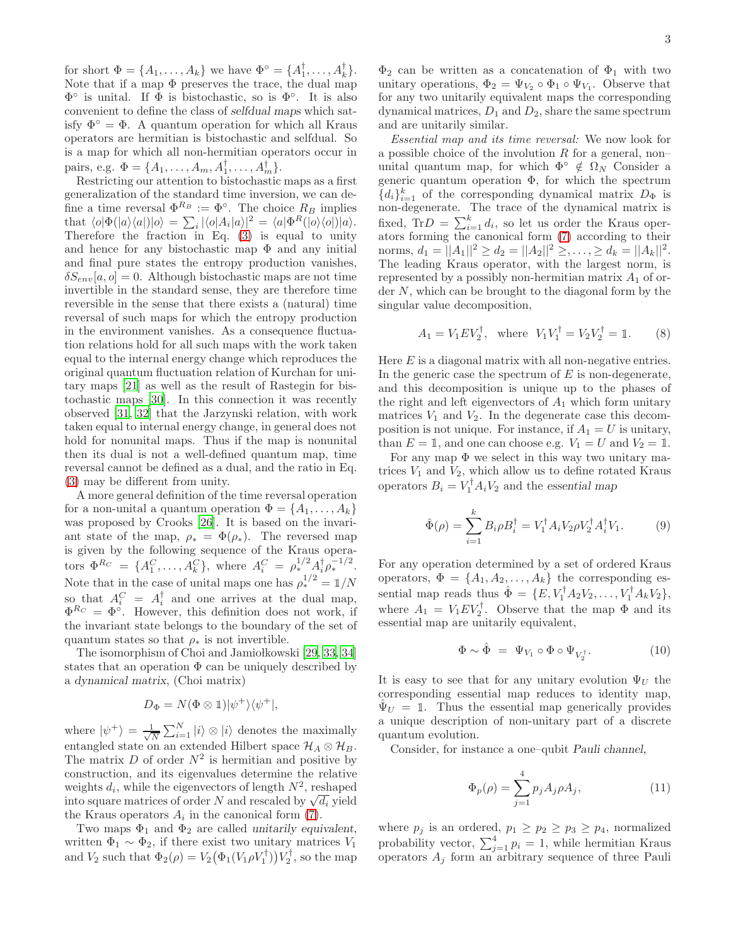for short  $\Phi = \{A_1, \ldots, A_k\}$  we have  $\Phi^{\circ} = \{A_1^{\dagger}, \ldots, A_k^{\dagger}\}.$ Note that if a map  $\Phi$  preserves the trace, the dual map  $\Phi^{\circ}$  is unital. If  $\Phi$  is bistochastic, so is  $\Phi^{\circ}$ . It is also convenient to define the class of selfdual maps which satisfy  $\Phi^{\circ} = \Phi$ . A quantum operation for which all Kraus operators are hermitian is bistochastic and selfdual. So is a map for which all non-hermitian operators occur in pairs, e.g.  $\Phi = \{A_1, \ldots, A_m, A_1^{\dagger}, \ldots, A_m^{\dagger}\}.$ 

Restricting our attention to bistochastic maps as a first generalization of the standard time inversion, we can define a time reversal  $\Phi^{R_B} := \Phi^{\circ}$ . The choice  $R_B$  implies that  $\langle o|\Phi(|a\rangle\langle a|)|o\rangle = \sum_i |\langle o|A_i|a\rangle|^2 = \langle a|\Phi^R(|o\rangle\langle o|)|a\rangle.$ Therefore the fraction in Eq. [\(3\)](#page-1-0) is equal to unity and hence for any bistochastic map  $\Phi$  and any initial and final pure states the entropy production vanishes,  $\delta S_{env}[a, o] = 0$ . Although bistochastic maps are not time invertible in the standard sense, they are therefore time reversible in the sense that there exists a (natural) time reversal of such maps for which the entropy production in the environment vanishes. As a consequence fluctuation relations hold for all such maps with the work taken equal to the internal energy change which reproduces the original quantum fluctuation relation of Kurchan for unitary maps [\[21](#page-4-16)] as well as the result of Rastegin for bistochastic maps [\[30\]](#page-5-4). In this connection it was recently observed [\[31](#page-5-5), [32\]](#page-5-6) that the Jarzynski relation, with work taken equal to internal energy change, in general does not hold for nonunital maps. Thus if the map is nonunital then its dual is not a well-defined quantum map, time reversal cannot be defined as a dual, and the ratio in Eq. [\(3\)](#page-1-0) may be different from unity.

A more general definition of the time reversal operation for a non-unital a quantum operation  $\Phi = \{A_1, \ldots, A_k\}$ was proposed by Crooks [\[26\]](#page-4-20). It is based on the invariant state of the map,  $\rho_* = \Phi(\rho_*)$ . The reversed map is given by the following sequence of the Kraus operators  $\Phi^{R_C} = \{A_1^C, \ldots, A_k^C\}$ , where  $A_i^C = \rho_{*,i}^{1/2} A_i^{\dagger} \rho_{*}^{-1/2}$ . Note that in the case of unital maps one has  $\rho_*^{1/2} = 1/N$ so that  $A_i^C = A_i^{\dagger}$  and one arrives at the dual map,  $\Phi^{R_C} = \Phi^{\circ}$ . However, this definition does not work, if the invariant state belongs to the boundary of the set of quantum states so that  $\rho_*$  is not invertible.

The isomorphism of Choi and Jamiołkowski [\[29,](#page-5-3) [33](#page-5-7), [34](#page-5-8)] states that an operation  $\Phi$  can be uniquely described by a dynamical matrix, (Choi matrix)

$$
D_{\Phi} = N(\Phi \otimes \mathbb{1}) |\psi^{+}\rangle\langle\psi^{+}|,
$$

where  $|\psi^+\rangle = \frac{1}{\sqrt{l}}$  $\frac{1}{N} \sum_{i=1}^{N} |i\rangle \otimes |i\rangle$  denotes the maximally entangled state on an extended Hilbert space  $\mathcal{H}_A \otimes \mathcal{H}_B$ . The matrix  $D$  of order  $N^2$  is hermitian and positive by construction, and its eigenvalues determine the relative weights  $d_i$ , while the eigenvectors of length  $N^2$ , reshaped into square matrices of order N and rescaled by  $\sqrt{d_i}$  yield the Kraus operators  $A_i$  in the canonical form [\(7\)](#page-1-3).

Two maps  $\Phi_1$  and  $\Phi_2$  are called unitarily equivalent, written  $\Phi_1 \sim \Phi_2$ , if there exist two unitary matrices  $V_1$ and  $V_2$  such that  $\Phi_2(\rho) = V_2(\Phi_1(V_1 \rho V_1^{\dagger}))V_2^{\dagger}$ , so the map

 $\Phi_2$  can be written as a concatenation of  $\Phi_1$  with two unitary operations,  $\Phi_2 = \Psi_{V_2} \circ \Phi_1 \circ \Psi_{V_1}$ . Observe that for any two unitarily equivalent maps the corresponding dynamical matrices,  $D_1$  and  $D_2$ , share the same spectrum and are unitarily similar.

*Essential map and its time reversal:* We now look for a possible choice of the involution  $R$  for a general, non– unital quantum map, for which  $\Phi^{\circ} \notin \Omega_N$  Consider a generic quantum operation  $\Phi$ , for which the spectrum  ${d_i}_{i=1}^k$  of the corresponding dynamical matrix  $D_{\Phi}$  is non-degenerate. The trace of the dynamical matrix is fixed, Tr $D = \sum_{i=1}^{k} d_i$ , so let us order the Kraus operators forming the canonical form [\(7\)](#page-1-3) according to their norms,  $d_1 = ||A_1||^2 \ge d_2 = ||A_2||^2 \ge \ldots \ge d_k = ||A_k||^2$ . The leading Kraus operator, with the largest norm, is represented by a possibly non-hermitian matrix  $A_1$  of order N, which can be brought to the diagonal form by the singular value decomposition,

$$
A_1 = V_1 E V_2^{\dagger}
$$
, where  $V_1 V_1^{\dagger} = V_2 V_2^{\dagger} = \mathbb{1}$ . (8)

Here  $E$  is a diagonal matrix with all non-negative entries. In the generic case the spectrum of  $E$  is non-degenerate, and this decomposition is unique up to the phases of the right and left eigenvectors of  $A_1$  which form unitary matrices  $V_1$  and  $V_2$ . In the degenerate case this decomposition is not unique. For instance, if  $A_1 = U$  is unitary, than  $E = \mathbb{1}$ , and one can choose e.g.  $V_1 = U$  and  $V_2 = \mathbb{1}$ .

For any map  $\Phi$  we select in this way two unitary matrices  $V_1$  and  $V_2$ , which allow us to define rotated Kraus operators  $B_i = V_1^{\dagger} A_i V_2$  and the essential map

$$
\hat{\Phi}(\rho) = \sum_{i=1}^{k} B_i \rho B_i^{\dagger} = V_1^{\dagger} A_i V_2 \rho V_2^{\dagger} A_i^{\dagger} V_1.
$$
 (9)

For any operation determined by a set of ordered Kraus operators,  $\Phi = \{A_1, A_2, \ldots, A_k\}$  the corresponding essential map reads thus  $\hat{\Phi} = \{E, V_1^{\dagger} A_2 V_2, \dots, V_1^{\dagger} A_k V_2\},\$ where  $A_1 = V_1 E V_2^{\dagger}$ . Observe that the map  $\Phi$  and its essential map are unitarily equivalent,

<span id="page-2-0"></span>
$$
\Phi \sim \hat{\Phi} = \Psi_{V_1} \circ \Phi \circ \Psi_{V_2^{\dagger}}.
$$
\n(10)

It is easy to see that for any unitary evolution  $\Psi_U$  the corresponding essential map reduces to identity map,  $\Psi_U = 1$ . Thus the essential map generically provides a unique description of non-unitary part of a discrete quantum evolution.

Consider, for instance a one–qubit Pauli channel,

$$
\Phi_p(\rho) = \sum_{j=1}^4 p_j A_j \rho A_j,\tag{11}
$$

where  $p_j$  is an ordered,  $p_1 \geq p_2 \geq p_3 \geq p_4$ , normalized probability vector,  $\sum_{j=1}^{4} p_i = 1$ , while hermitian Kraus operators  $A_j$  form an arbitrary sequence of three Pauli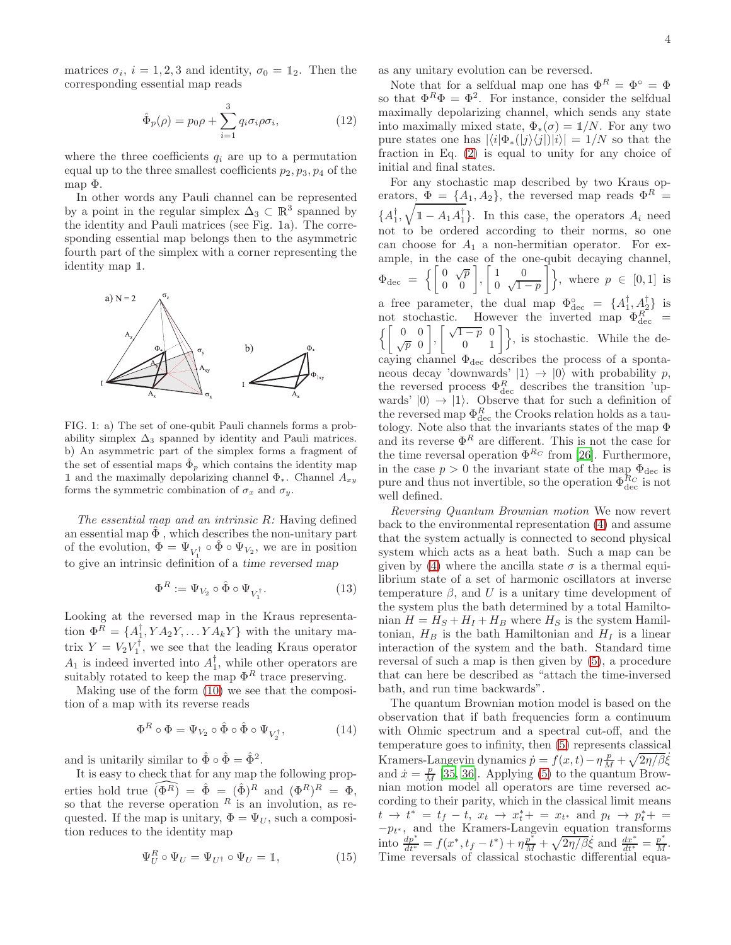matrices  $\sigma_i$ ,  $i = 1, 2, 3$  and identity,  $\sigma_0 = \mathbb{1}_2$ . Then the corresponding essential map reads

$$
\hat{\Phi}_p(\rho) = p_0 \rho + \sum_{i=1}^3 q_i \sigma_i \rho \sigma_i, \qquad (12)
$$

where the three coefficients  $q_i$  are up to a permutation equal up to the three smallest coefficients  $p_2, p_3, p_4$  of the map Φ.

In other words any Pauli channel can be represented by a point in the regular simplex  $\Delta_3 \subset \mathbb{R}^3$  spanned by the identity and Pauli matrices (see Fig. 1a). The corresponding essential map belongs then to the asymmetric fourth part of the simplex with a corner representing the identity map <sup>1</sup>.



FIG. 1: a) The set of one-qubit Pauli channels forms a probability simplex  $\Delta_3$  spanned by identity and Pauli matrices. b) An asymmetric part of the simplex forms a fragment of the set of essential maps  $\hat{\Phi}_p$  which contains the identity map 1 and the maximally depolarizing channel  $\Phi_*$ . Channel  $A_{xy}$ forms the symmetric combination of  $\sigma_x$  and  $\sigma_y$ .

*The essential map and an intrinsic* R*:* Having defined an essential map  $\Phi$ , which describes the non-unitary part of the evolution,  $\Phi = \Psi_{V_1^{\dagger}} \circ \hat{\Phi} \circ \Psi_{V_2}$ , we are in position to give an intrinsic definition of a time reversed map

$$
\Phi^R := \Psi_{V_2} \circ \hat{\Phi} \circ \Psi_{V_1^\dagger}.\tag{13}
$$

Looking at the reversed map in the Kraus representation  $\Phi^R = \{A_1^{\dagger}, YA_2Y, \ldots YA_kY\}$  with the unitary matrix  $Y = V_2 V_1^{\dagger}$ , we see that the leading Kraus operator  $A_1$  is indeed inverted into  $A_1^{\dagger}$ , while other operators are suitably rotated to keep the map  $\Phi^R$  trace preserving.

Making use of the form [\(10\)](#page-2-0) we see that the composition of a map with its reverse reads

$$
\Phi^R \circ \Phi = \Psi_{V_2} \circ \hat{\Phi} \circ \hat{\Phi} \circ \Psi_{V_2^{\dagger}}, \tag{14}
$$

and is unitarily similar to  $\hat{\Phi} \circ \hat{\Phi} = \hat{\Phi}^2$ .

It is easy to check that for any map the following properties hold true  $\widehat{(\Phi^R)} = \hat{\Phi} = (\hat{\Phi})^R$  and  $(\Phi^R)^R = \Phi$ , so that the reverse operation  $R$  is an involution, as requested. If the map is unitary,  $\Phi = \Psi_U$ , such a composition reduces to the identity map

$$
\Psi_U^R \circ \Psi_U = \Psi_{U^{\dagger}} \circ \Psi_U = \mathbb{1},\tag{15}
$$

as any unitary evolution can be reversed.

Note that for a selfdual map one has  $\Phi^R = \Phi^{\circ} = \Phi$ so that  $\Phi^R \Phi = \Phi^2$ . For instance, consider the selfdual maximally depolarizing channel, which sends any state into maximally mixed state,  $\Phi_*(\sigma) = 1/N$ . For any two pure states one has  $|\langle i|\Phi_*(|j\rangle\langle j|)|i\rangle| = 1/N$  so that the fraction in Eq. [\(2\)](#page-0-3) is equal to unity for any choice of initial and final states.

For any stochastic map described by two Kraus operators,  $\Phi = \{A_1, A_2\}$ , the reversed map reads  $\Phi^R =$  ${A_1^{\dagger}, \sqrt{1 - A_1 A_1^{\dagger}}\}$ . In this case, the operators  $A_i$  need not to be ordered according to their norms, so one can choose for  $A_1$  a non-hermitian operator. For example, in the case of the one-qubit decaying channel,  $\Phi_{\rm dec} \;=\; \left\{\left[\begin{array}{cc} 0 \;\;\sqrt{p} \; \; 0 \ 0 \;\;\; 0 \end{array}\right] , \left[\begin{array}{cc} 1 \; \; 0 \ 0 \;\;\sqrt{1} \end{array}\right] \right.$ 0  $\sqrt{1-p}$  $\Big\}$ , where  $p \in [0,1]$  is a free parameter, the dual map  $\Phi_{\text{dec}}^{\circ} = \{A_{1}^{\dagger}, A_{2}^{\dagger}\}\$ is not stochastic. However the inverted map  $\Phi_{\text{dec}}^R$  =  $\iint 0$  $\sqrt{p}$  0  $\left[\begin{array}{cc} \sqrt{1-p} & 0 \\ 0 & 1 \end{array}\right]$ , is stochastic. While the decaying channel  $\Phi_{\text{dec}}$  describes the process of a spontaneous decay 'downwards'  $|1\rangle \rightarrow |0\rangle$  with probability p, the reversed process  $\Phi_{\text{dec}}^R$  describes the transition 'upwards'  $|0\rangle \rightarrow |1\rangle$ . Observe that for such a definition of the reversed map  $\Phi_{\text{dec}}^R$  the Crooks relation holds as a tautology. Note also that the invariants states of the map Φ and its reverse  $\Phi^R$  are different. This is not the case for the time reversal operation  $\Phi^{R_C}$  from [\[26](#page-4-20)]. Furthermore, in the case  $p > 0$  the invariant state of the map  $\Phi_{\text{dec}}$  is pure and thus not invertible, so the operation  $\Phi_{\text{dec}}^{R_C}$  is not well defined.

*Reversing Quantum Brownian motion* We now revert back to the environmental representation [\(4\)](#page-1-4) and assume that the system actually is connected to second physical system which acts as a heat bath. Such a map can be given by [\(4\)](#page-1-4) where the ancilla state  $\sigma$  is a thermal equilibrium state of a set of harmonic oscillators at inverse temperature  $\beta$ , and U is a unitary time development of the system plus the bath determined by a total Hamiltonian  $H = H<sub>S</sub> + H<sub>I</sub> + H<sub>B</sub>$  where  $H<sub>S</sub>$  is the system Hamiltonian,  $H_B$  is the bath Hamiltonian and  $H_I$  is a linear interaction of the system and the bath. Standard time reversal of such a map is then given by [\(5\)](#page-1-1), a procedure that can here be described as "attach the time-inversed bath, and run time backwards".

The quantum Brownian motion model is based on the observation that if bath frequencies form a continuum with Ohmic spectrum and a spectral cut-off, and the temperature goes to infinity, then [\(5\)](#page-1-1) represents classical Kramers-Langevin dynamics  $\dot{p} = f(x, t) - \eta \frac{p}{M} + \sqrt{2\eta/\beta}\dot{\xi}$ and  $\dot{x} = \frac{p}{M}$  [\[35,](#page-5-9) [36](#page-5-10)]. Applying [\(5\)](#page-1-1) to the quantum Brownian motion model all operators are time reversed according to their parity, which in the classical limit means  $t \to t^* = t_f - t, \ x_t \to x_t^* + = x_{t^*} \text{ and } p_t \to p_t^* + =$  $-p_{t^*}$ , and the Kramers-Langevin equation transforms into  $\frac{dp^*}{dt^*} = f(x^*, t_f - t^*) + \eta \frac{p^*}{M} + \sqrt{2\eta/\beta} \dot{\xi}$  and  $\frac{dx^*}{dt^*} = \frac{p^*}{M}$ . Time reversals of classical stochastic differential equa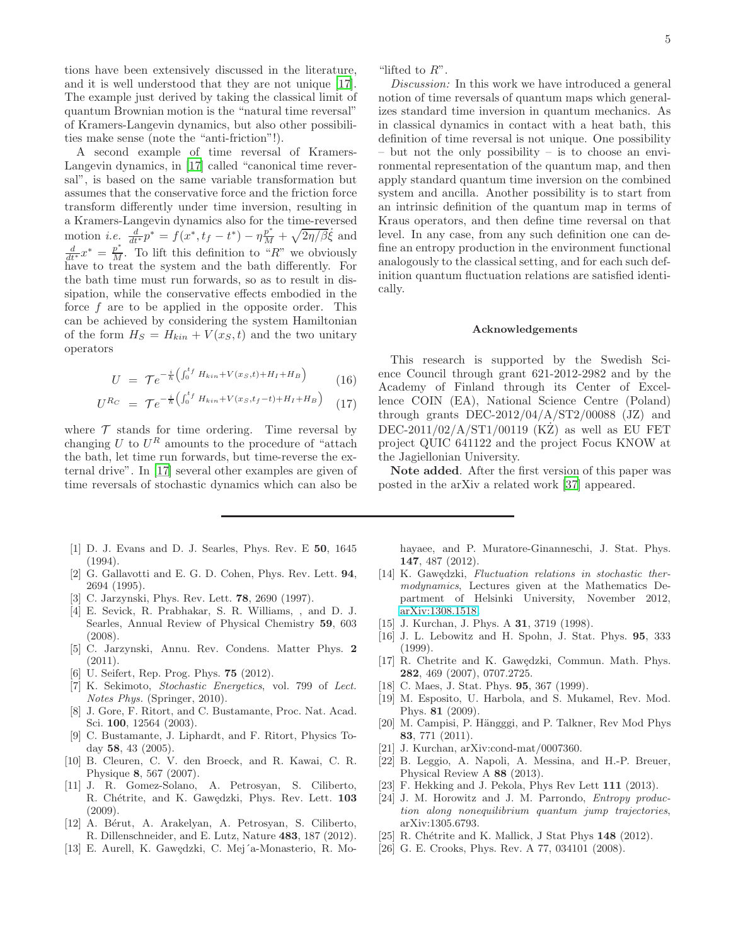tions have been extensively discussed in the literature, and it is well understood that they are not unique [\[17\]](#page-4-12). The example just derived by taking the classical limit of quantum Brownian motion is the "natural time reversal" of Kramers-Langevin dynamics, but also other possibilities make sense (note the "anti-friction"!).

A second example of time reversal of Kramers-Langevin dynamics, in [\[17](#page-4-12)] called "canonical time reversal", is based on the same variable transformation but assumes that the conservative force and the friction force transform differently under time inversion, resulting in a Kramers-Langevin dynamics also for the time-reversed motion *i.e.*  $\frac{d}{dt^*} p^* = f(x^*, t_f - t^*) - \eta \frac{p^*}{M} + \sqrt{2\eta/\beta}\dot{\xi}$  and  $\frac{d}{dt^*}x^* = \frac{p^*}{M}$ . To lift this definition to "R" we obviously have to treat the system and the bath differently. For the bath time must run forwards, so as to result in dissipation, while the conservative effects embodied in the force  $f$  are to be applied in the opposite order. This can be achieved by considering the system Hamiltonian of the form  $H_S = H_{kin} + V(x_S, t)$  and the two unitary operators

$$
U = \mathcal{T}e^{-\frac{i}{\hbar}\left(\int_0^{t_f} H_{kin} + V(x_S, t) + H_I + H_B\right)} \tag{16}
$$

$$
U^{R_C} = \mathcal{T}e^{-\frac{i}{\hbar}\left(\int_0^{t_f} H_{kin} + V(x_S, t_f - t) + H_I + H_B\right)} \quad (17)
$$

where  $\mathcal T$  stands for time ordering. Time reversal by changing  $U$  to  $U^R$  amounts to the procedure of "attach the bath, let time run forwards, but time-reverse the external drive". In [\[17\]](#page-4-12) several other examples are given of time reversals of stochastic dynamics which can also be

- <span id="page-4-0"></span>[1] D. J. Evans and D. J. Searles, Phys. Rev. E 50, 1645 (1994).
- [2] G. Gallavotti and E. G. D. Cohen, Phys. Rev. Lett. 94, 2694 (1995).
- <span id="page-4-1"></span>[3] C. Jarzynski, Phys. Rev. Lett. 78, 2690 (1997).
- <span id="page-4-2"></span>[4] E. Sevick, R. Prabhakar, S. R. Williams, , and D. J. Searles, Annual Review of Physical Chemistry 59, 603 (2008).
- [5] C. Jarzynski, Annu. Rev. Condens. Matter Phys. 2  $(2011).$
- [6] U. Seifert, Rep. Prog. Phys. **75** (2012).
- <span id="page-4-3"></span>[7] K. Sekimoto, Stochastic Energetics, vol. 799 of Lect. Notes Phys. (Springer, 2010).
- <span id="page-4-4"></span>[8] J. Gore, F. Ritort, and C. Bustamante, Proc. Nat. Acad. Sci. 100, 12564 (2003).
- <span id="page-4-5"></span>[9] C. Bustamante, J. Liphardt, and F. Ritort, Physics Today 58, 43 (2005).
- <span id="page-4-6"></span>[10] B. Cleuren, C. V. den Broeck, and R. Kawai, C. R. Physique 8, 567 (2007).
- <span id="page-4-7"></span>[11] J. R. Gomez-Solano, A. Petrosyan, S. Ciliberto, R. Chétrite, and K. Gawędzki, Phys. Rev. Lett. 103 (2009).
- <span id="page-4-8"></span>[12] A. Bérut, A. Arakelyan, A. Petrosyan, S. Ciliberto, R. Dillenschneider, and E. Lutz, Nature 483, 187 (2012).
- [13] E. Aurell, K. Gawędzki, C. Mej´a-Monasterio, R. Mo-

"lifted to  $R$ ".

*Discussion:* In this work we have introduced a general notion of time reversals of quantum maps which generalizes standard time inversion in quantum mechanics. As in classical dynamics in contact with a heat bath, this definition of time reversal is not unique. One possibility – but not the only possibility – is to choose an environmental representation of the quantum map, and then apply standard quantum time inversion on the combined system and ancilla. Another possibility is to start from an intrinsic definition of the quantum map in terms of Kraus operators, and then define time reversal on that level. In any case, from any such definition one can define an entropy production in the environment functional analogously to the classical setting, and for each such definition quantum fluctuation relations are satisfied identically.

## Acknowledgements

This research is supported by the Swedish Science Council through grant 621-2012-2982 and by the Academy of Finland through its Center of Excellence COIN (EA), National Science Centre (Poland) through grants  $DEC-2012/04/A/ST2/00088$  (JZ) and  $DEC-2011/02/A/ST1/00119$  (KZ) as well as EU FET project QUIC 641122 and the project Focus KNOW at the Jagiellonian University.

Note added. After the first version of this paper was posted in the arXiv a related work [\[37](#page-5-11)] appeared.

hayaee, and P. Muratore-Ginanneschi, J. Stat. Phys. 147, 487 (2012).

- <span id="page-4-9"></span>[14] K. Gawedzki, Fluctuation relations in stochastic thermodynamics, Lectures given at the Mathematics Department of Helsinki University, November 2012, [arXiv:1308.1518.](http://arxiv.org/abs/1308.1518)
- <span id="page-4-10"></span>[15] J. Kurchan, J. Phys. A **31**, 3719 (1998).
- <span id="page-4-11"></span>[16] J. L. Lebowitz and H. Spohn, J. Stat. Phys. 95, 333 (1999).
- <span id="page-4-12"></span>[17] R. Chetrite and K. Gawędzki, Commun. Math. Phys. 282, 469 (2007), 0707.2725.
- <span id="page-4-13"></span>[18] C. Maes, J. Stat. Phys. **95**, 367 (1999).
- <span id="page-4-14"></span>[19] M. Esposito, U. Harbola, and S. Mukamel, Rev. Mod. Phys. 81 (2009).
- <span id="page-4-15"></span>[20] M. Campisi, P. Hängggi, and P. Talkner, Rev Mod Phys 83, 771 (2011).
- <span id="page-4-16"></span>[21] J. Kurchan, arXiv:cond-mat/0007360.
- <span id="page-4-17"></span>[22] B. Leggio, A. Napoli, A. Messina, and H.-P. Breuer, Physical Review A 88 (2013).
- [23] F. Hekking and J. Pekola, Phys Rev Lett 111 (2013).
- <span id="page-4-18"></span>[24] J. M. Horowitz and J. M. Parrondo, *Entropy produc*tion along nonequilibrium quantum jump trajectories, arXiv:1305.6793.
- <span id="page-4-19"></span>[25] R. Chétrite and K. Mallick, J Stat Phys  $148$  (2012).
- <span id="page-4-20"></span>[26] G. E. Crooks, Phys. Rev. A 77, 034101 (2008).